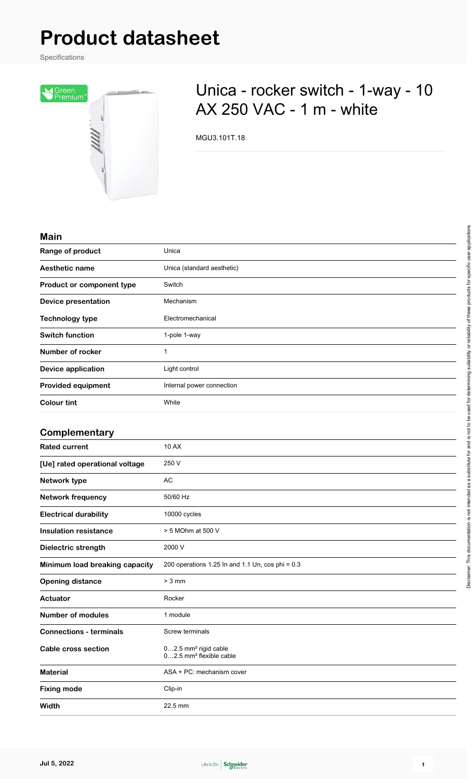# **Product datasheet**

Specifications



## Unica - rocker switch - 1-way - 10 AX 250 VAC - 1 m - white

MGU3.101T.18

#### **Main**

| Range of product               | Unica                                                                   |
|--------------------------------|-------------------------------------------------------------------------|
| Aesthetic name                 | Unica (standard aesthetic)                                              |
| Product or component type      | Switch                                                                  |
| <b>Device presentation</b>     | Mechanism                                                               |
| <b>Technology type</b>         | Electromechanical                                                       |
| <b>Switch function</b>         | 1-pole 1-way                                                            |
| Number of rocker               | 1                                                                       |
| <b>Device application</b>      | Light control                                                           |
| <b>Provided equipment</b>      | Internal power connection                                               |
| <b>Colour tint</b>             | White                                                                   |
| Complementary                  |                                                                         |
| <b>Rated current</b>           | <b>10 AX</b>                                                            |
| [Ue] rated operational voltage | 250 V                                                                   |
| Network type                   | <b>AC</b>                                                               |
| <b>Network frequency</b>       | 50/60 Hz                                                                |
| <b>Electrical durability</b>   | 10000 cycles                                                            |
| <b>Insulation resistance</b>   | > 5 MOhm at 500 V                                                       |
| Dielectric strength            | 2000 V                                                                  |
| Minimum load breaking capacity | 200 operations 1.25 In and 1.1 Un, cos phi = 0.3                        |
| <b>Opening distance</b>        | $> 3$ mm                                                                |
| Actuator                       | Rocker                                                                  |
| <b>Number of modules</b>       | 1 module                                                                |
| <b>Connections - terminals</b> | Screw terminals                                                         |
| Cable cross section            | 02.5 mm <sup>2</sup> rigid cable<br>02.5 mm <sup>2</sup> flexible cable |



**Material** ASA + PC: mechanism cover

**Fixing mode** Clip-in

**Width** 22.5 mm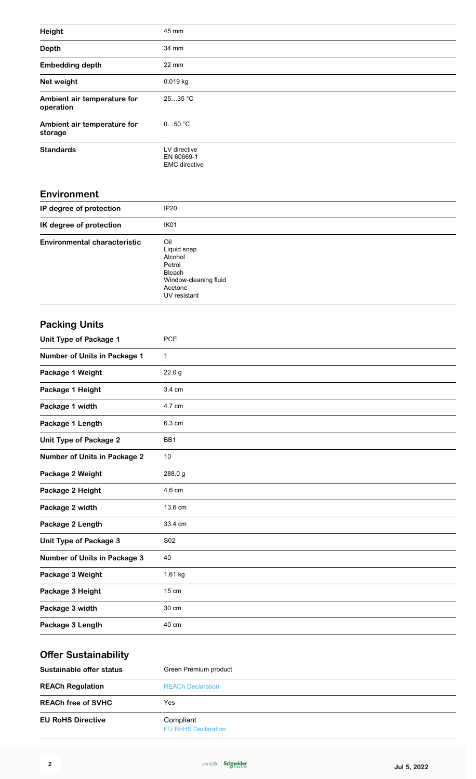| Height                                   | 45 mm                                              |
|------------------------------------------|----------------------------------------------------|
| <b>Depth</b>                             | 34 mm                                              |
| <b>Embedding depth</b>                   | 22 mm                                              |
| Net weight                               | 0.019 kg                                           |
| Ambient air temperature for<br>operation | 2535 °C                                            |
| Ambient air temperature for<br>storage   | 050 °C                                             |
| <b>Standards</b>                         | LV directive<br>EN 60669-1<br><b>EMC</b> directive |
| <b>Environment</b>                       |                                                    |
| IP degree of protection                  | IP <sub>20</sub>                                   |
| IK degree of protection                  | IK <sub>01</sub>                                   |

| IK degree of protection             | IK <sub>01</sub>      |
|-------------------------------------|-----------------------|
| <b>Environmental characteristic</b> | Oil                   |
|                                     | Liquid soap           |
|                                     | Alcohol               |
|                                     | Petrol                |
|                                     | Bleach                |
|                                     | Window-cleaning fluid |
|                                     | Acetone               |
|                                     | UV resistant          |
|                                     |                       |

### **Packing Units Unit Type of Package 1** PCE **Number of Units in Package 1** 1 **Package 1 Weight** 22.0 g **Package 1 Height** 3.4 cm Package 1 width 4.7 cm

| Package 1 Length                    | 6.3 cm  |
|-------------------------------------|---------|
| <b>Unit Type of Package 2</b>       | BB1     |
| <b>Number of Units in Package 2</b> | 10      |
| Package 2 Weight                    | 288.0 g |
| Package 2 Height                    | 4.6 cm  |
| Package 2 width                     | 13.6 cm |
| Package 2 Length                    | 33.4 cm |
| Unit Type of Package 3              | S02     |
| <b>Number of Units in Package 3</b> | 40      |
| Package 3 Weight                    | 1.61 kg |
| Package 3 Height                    | 15 cm   |
| Package 3 width                     | 30 cm   |
| Package 3 Length                    | 40 cm   |

#### **Offer Sustainability Sustainable offer status** Green Premium product **REACh Regulation** [REACh Declaration](https://download.schneider-electric.com/files?p_enDocType=REACh+Declaration&p_Doc_Ref=MGU3.101T.18_REACH_DECLARATION&p_FileName=MGU3.101T.18_REACH_DECLARATION_EG_en-GB.pdf) **REACh free of SVHC** Yes **EU RoHS Directive** Compliant [EU RoHS Declaration](https://download.schneider-electric.com/files?p_Doc_Ref=MGU3.101T.18_ROHS_DECLARATION&p_FileName=MGU3.101T.18_ROHS_DECLARATION_EG_en-GB.pdf)